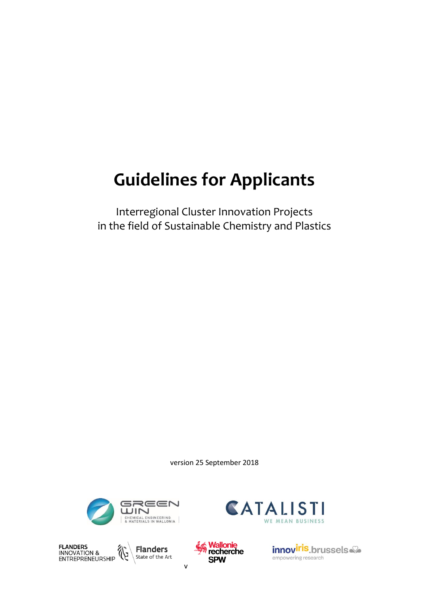# **Guidelines for Applicants**

Interregional Cluster Innovation Projects in the field of Sustainable Chemistry and Plastics

version 25 September 2018







v



innoviris.brussels empowering research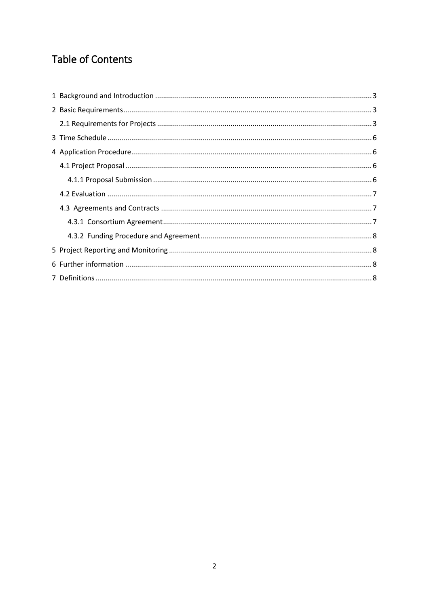# **Table of Contents**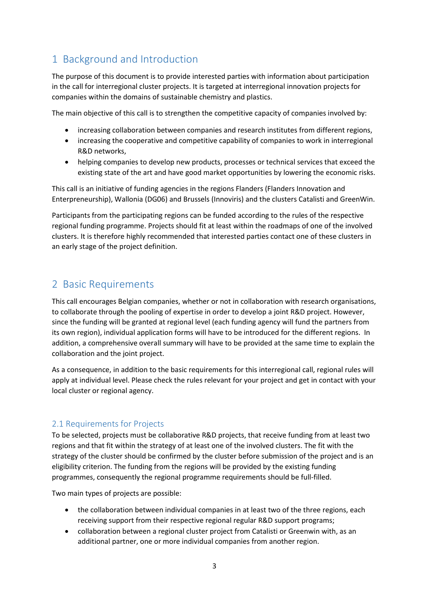# <span id="page-2-0"></span>1 Background and Introduction

The purpose of this document is to provide interested parties with information about participation in the call for interregional cluster projects. It is targeted at interregional innovation projects for companies within the domains of sustainable chemistry and plastics.

The main objective of this call is to strengthen the competitive capacity of companies involved by:

- increasing collaboration between companies and research institutes from different regions,
- increasing the cooperative and competitive capability of companies to work in interregional R&D networks,
- helping companies to develop new products, processes or technical services that exceed the existing state of the art and have good market opportunities by lowering the economic risks.

This call is an initiative of funding agencies in the regions Flanders (Flanders Innovation and Enterpreneurship), Wallonia (DG06) and Brussels (Innoviris) and the clusters Catalisti and GreenWin.

Participants from the participating regions can be funded according to the rules of the respective regional funding programme. Projects should fit at least within the roadmaps of one of the involved clusters. It is therefore highly recommended that interested parties contact one of these clusters in an early stage of the project definition.

# <span id="page-2-1"></span>2 Basic Requirements

This call encourages Belgian companies, whether or not in collaboration with research organisations, to collaborate through the pooling of expertise in order to develop a joint R&D project. However, since the funding will be granted at regional level (each funding agency will fund the partners from its own region), individual application forms will have to be introduced for the different regions. In addition, a comprehensive overall summary will have to be provided at the same time to explain the collaboration and the joint project.

As a consequence, in addition to the basic requirements for this interregional call, regional rules will apply at individual level. Please check the rules relevant for your project and get in contact with your local cluster or regional agency.

#### <span id="page-2-2"></span>2.1 Requirements for Projects

To be selected, projects must be collaborative R&D projects, that receive funding from at least two regions and that fit within the strategy of at least one of the involved clusters. The fit with the strategy of the cluster should be confirmed by the cluster before submission of the project and is an eligibility criterion. The funding from the regions will be provided by the existing funding programmes, consequently the regional programme requirements should be full-filled.

Two main types of projects are possible:

- the collaboration between individual companies in at least two of the three regions, each receiving support from their respective regional regular R&D support programs;
- collaboration between a regional cluster project from Catalisti or Greenwin with, as an additional partner, one or more individual companies from another region.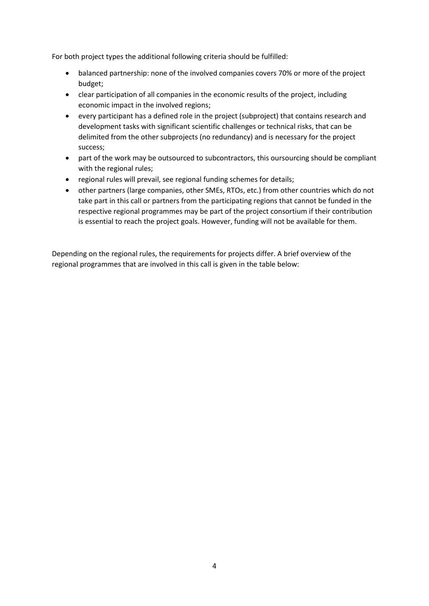For both project types the additional following criteria should be fulfilled:

- balanced partnership: none of the involved companies covers 70% or more of the project budget;
- clear participation of all companies in the economic results of the project, including economic impact in the involved regions;
- every participant has a defined role in the project (subproject) that contains research and development tasks with significant scientific challenges or technical risks, that can be delimited from the other subprojects (no redundancy) and is necessary for the project success;
- part of the work may be outsourced to subcontractors, this oursourcing should be compliant with the regional rules;
- regional rules will prevail, see regional funding schemes for details;
- other partners (large companies, other SMEs, RTOs, etc.) from other countries which do not take part in this call or partners from the participating regions that cannot be funded in the respective regional programmes may be part of the project consortium if their contribution is essential to reach the project goals. However, funding will not be available for them.

Depending on the regional rules, the requirements for projects differ. A brief overview of the regional programmes that are involved in this call is given in the table below: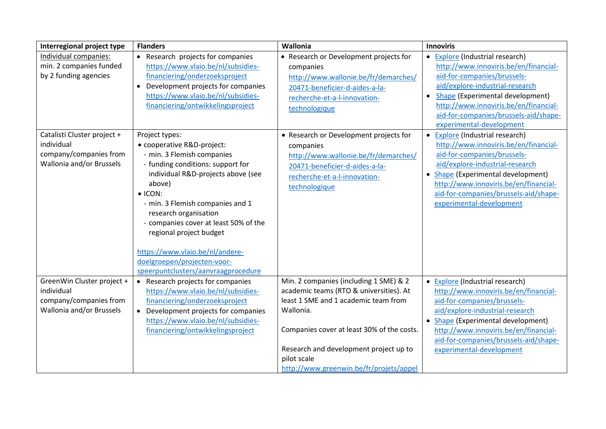| Interregional project type                                                                      | <b>Flanders</b>                                                                                                                                                                                                                                                                                                                                                                                                              | Wallonia                                                                                                                                                                                                                                                                                 | <b>Innoviris</b>                                                                                                                                                                                                                                                                                                     |
|-------------------------------------------------------------------------------------------------|------------------------------------------------------------------------------------------------------------------------------------------------------------------------------------------------------------------------------------------------------------------------------------------------------------------------------------------------------------------------------------------------------------------------------|------------------------------------------------------------------------------------------------------------------------------------------------------------------------------------------------------------------------------------------------------------------------------------------|----------------------------------------------------------------------------------------------------------------------------------------------------------------------------------------------------------------------------------------------------------------------------------------------------------------------|
| Individual companies:<br>min. 2 companies funded<br>by 2 funding agencies                       | • Research projects for companies<br>https://www.vlaio.be/nl/subsidies-<br>financiering/onderzoeksproject<br>Development projects for companies<br>$\bullet$<br>https://www.vlaio.be/nl/subsidies-<br>financiering/ontwikkelingsproject                                                                                                                                                                                      | • Research or Development projects for<br>companies<br>http://www.wallonie.be/fr/demarches/<br>20471-beneficier-d-aides-a-la-<br>recherche-et-a-l-innovation-<br>technologique                                                                                                           | Explore (Industrial research)<br>$\bullet$<br>http://www.innoviris.be/en/financial-<br>aid-for-companies/brussels-<br>aid/explore-industrial-research<br>Shape (Experimental development)<br>$\bullet$<br>http://www.innoviris.be/en/financial-<br>aid-for-companies/brussels-aid/shape-<br>experimental-development |
| Catalisti Cluster project +<br>individual<br>company/companies from<br>Wallonia and/or Brussels | Project types:<br>• cooperative R&D-project:<br>- min. 3 Flemish companies<br>- funding conditions: support for<br>individual R&D-projects above (see<br>above)<br>$\bullet$ ICON:<br>- min. 3 Flemish companies and 1<br>research organisation<br>- companies cover at least 50% of the<br>regional project budget<br>https://www.vlaio.be/nl/andere-<br>doelgroepen/projecten-voor-<br>speerpuntclusters/aanvraagprocedure | • Research or Development projects for<br>companies<br>http://www.wallonie.be/fr/demarches/<br>20471-beneficier-d-aides-a-la-<br>recherche-et-a-l-innovation-<br>technologique                                                                                                           | Explore (Industrial research)<br>http://www.innoviris.be/en/financial-<br>aid-for-companies/brussels-<br>aid/explore-industrial-research<br>Shape (Experimental development)<br>$\bullet$<br>http://www.innoviris.be/en/financial-<br>aid-for-companies/brussels-aid/shape-<br>experimental-development              |
| GreenWin Cluster project +<br>individual<br>company/companies from<br>Wallonia and/or Brussels  | • Research projects for companies<br>https://www.vlaio.be/nl/subsidies-<br>financiering/onderzoeksproject<br>• Development projects for companies<br>https://www.vlaio.be/nl/subsidies-<br>financiering/ontwikkelingsproject                                                                                                                                                                                                 | Min. 2 companies (including 1 SME) & 2<br>academic teams (RTO & universities). At<br>least 1 SME and 1 academic team from<br>Wallonia.<br>Companies cover at least 30% of the costs.<br>Research and development project up to<br>pilot scale<br>http://www.greenwin.be/fr/projets/appel | • Explore (Industrial research)<br>http://www.innoviris.be/en/financial-<br>aid-for-companies/brussels-<br>aid/explore-industrial-research<br>Shape (Experimental development)<br>http://www.innoviris.be/en/financial-<br>aid-for-companies/brussels-aid/shape-<br>experimental-development                         |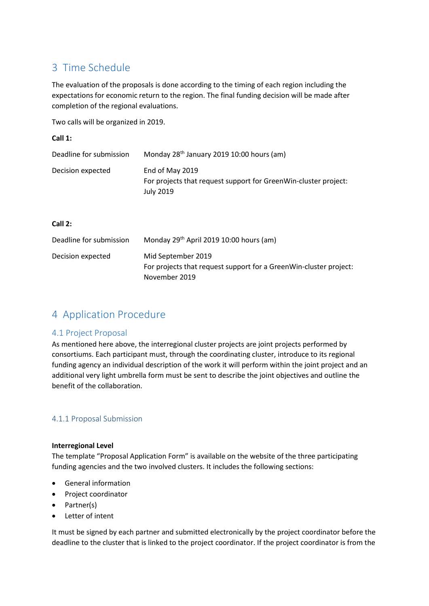# <span id="page-5-0"></span>3 Time Schedule

The evaluation of the proposals is done according to the timing of each region including the expectations for economic return to the region. The final funding decision will be made after completion of the regional evaluations.

Two calls will be organized in 2019.

| Call 1:                 |                                                                                                        |
|-------------------------|--------------------------------------------------------------------------------------------------------|
| Deadline for submission | Monday 28 <sup>th</sup> January 2019 10:00 hours (am)                                                  |
| Decision expected       | End of May 2019<br>For projects that request support for GreenWin-cluster project:<br><b>July 2019</b> |

#### **Call 2:**

| Deadline for submission | Monday 29 <sup>th</sup> April 2019 10:00 hours (am)                                                      |
|-------------------------|----------------------------------------------------------------------------------------------------------|
| Decision expected       | Mid September 2019<br>For projects that request support for a GreenWin-cluster project:<br>November 2019 |

## <span id="page-5-1"></span>4 Application Procedure

#### <span id="page-5-2"></span>4.1 Project Proposal

As mentioned here above, the interregional cluster projects are joint projects performed by consortiums. Each participant must, through the coordinating cluster, introduce to its regional funding agency an individual description of the work it will perform within the joint project and an additional very light umbrella form must be sent to describe the joint objectives and outline the benefit of the collaboration.

#### <span id="page-5-3"></span>4.1.1 Proposal Submission

#### **Interregional Level**

The template "Proposal Application Form" is available on the website of the three participating funding agencies and the two involved clusters. It includes the following sections:

- General information
- Project coordinator
- Partner(s)
- Letter of intent

It must be signed by each partner and submitted electronically by the project coordinator before the deadline to the cluster that is linked to the project coordinator. If the project coordinator is from the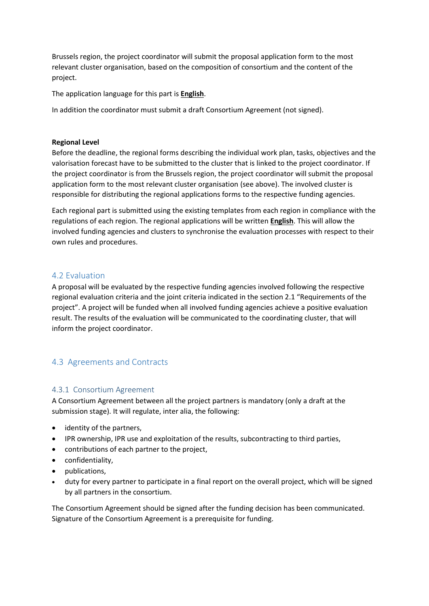Brussels region, the project coordinator will submit the proposal application form to the most relevant cluster organisation, based on the composition of consortium and the content of the project.

The application language for this part is **English**.

In addition the coordinator must submit a draft Consortium Agreement (not signed).

#### **Regional Level**

Before the deadline, the regional forms describing the individual work plan, tasks, objectives and the valorisation forecast have to be submitted to the cluster that is linked to the project coordinator. If the project coordinator is from the Brussels region, the project coordinator will submit the proposal application form to the most relevant cluster organisation (see above). The involved cluster is responsible for distributing the regional applications forms to the respective funding agencies.

Each regional part is submitted using the existing templates from each region in compliance with the regulations of each region. The regional applications will be written **English**. This will allow the involved funding agencies and clusters to synchronise the evaluation processes with respect to their own rules and procedures.

#### <span id="page-6-0"></span>4.2 Evaluation

A proposal will be evaluated by the respective funding agencies involved following the respective regional evaluation criteria and the joint criteria indicated in the section 2.1 "Requirements of the project". A project will be funded when all involved funding agencies achieve a positive evaluation result. The results of the evaluation will be communicated to the coordinating cluster, that will inform the project coordinator.

#### <span id="page-6-1"></span>4.3 Agreements and Contracts

#### <span id="page-6-2"></span>4.3.1 Consortium Agreement

A Consortium Agreement between all the project partners is mandatory (only a draft at the submission stage). It will regulate, inter alia, the following:

- identity of the partners,
- IPR ownership, IPR use and exploitation of the results, subcontracting to third parties,
- contributions of each partner to the project,
- confidentiality,
- publications,
- duty for every partner to participate in a final report on the overall project, which will be signed by all partners in the consortium.

The Consortium Agreement should be signed after the funding decision has been communicated. Signature of the Consortium Agreement is a prerequisite for funding.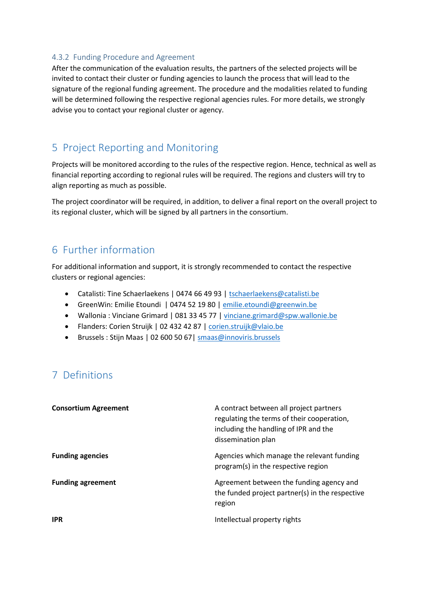#### <span id="page-7-0"></span>4.3.2 Funding Procedure and Agreement

After the communication of the evaluation results, the partners of the selected projects will be invited to contact their cluster or funding agencies to launch the process that will lead to the signature of the regional funding agreement. The procedure and the modalities related to funding will be determined following the respective regional agencies rules. For more details, we strongly advise you to contact your regional cluster or agency.

## <span id="page-7-1"></span>5 Project Reporting and Monitoring

Projects will be monitored according to the rules of the respective region. Hence, technical as well as financial reporting according to regional rules will be required. The regions and clusters will try to align reporting as much as possible.

The project coordinator will be required, in addition, to deliver a final report on the overall project to its regional cluster, which will be signed by all partners in the consortium.

### <span id="page-7-2"></span>6 Further information

For additional information and support, it is strongly recommended to contact the respective clusters or regional agencies:

- Catalisti: Tine Schaerlaekens | 0474 66 49 93 | [tschaerlaekens@catalisti.be](mailto:tschaerlaekens@catalisti.be)
- GreenWin: Emilie Etoundi | 0474 52 19 80 | [emilie.etoundi@greenwin.be](mailto:emilie.etoundi@greenwin.be)
- Wallonia : Vinciane Grimard | 081 33 45 77 | [vinciane.grimard@spw.wallonie.be](mailto:vinciane.grimard@spw.wallonie.be)
- Flanders: Corien Struijk | 02 432 42 87 [| corien.struijk@vlaio.be](mailto:corien.struijk@vlaio.be)
- Brussels : Stijn Maas | 02 600 50 67| [smaas@innoviris.brussels](mailto:smaas@innoviris.brussels)

# <span id="page-7-3"></span>7 Definitions

| <b>Consortium Agreement</b> | A contract between all project partners<br>regulating the terms of their cooperation,<br>including the handling of IPR and the<br>dissemination plan |
|-----------------------------|------------------------------------------------------------------------------------------------------------------------------------------------------|
| <b>Funding agencies</b>     | Agencies which manage the relevant funding<br>program(s) in the respective region                                                                    |
| <b>Funding agreement</b>    | Agreement between the funding agency and<br>the funded project partner(s) in the respective<br>region                                                |
| <b>IPR</b>                  | Intellectual property rights                                                                                                                         |